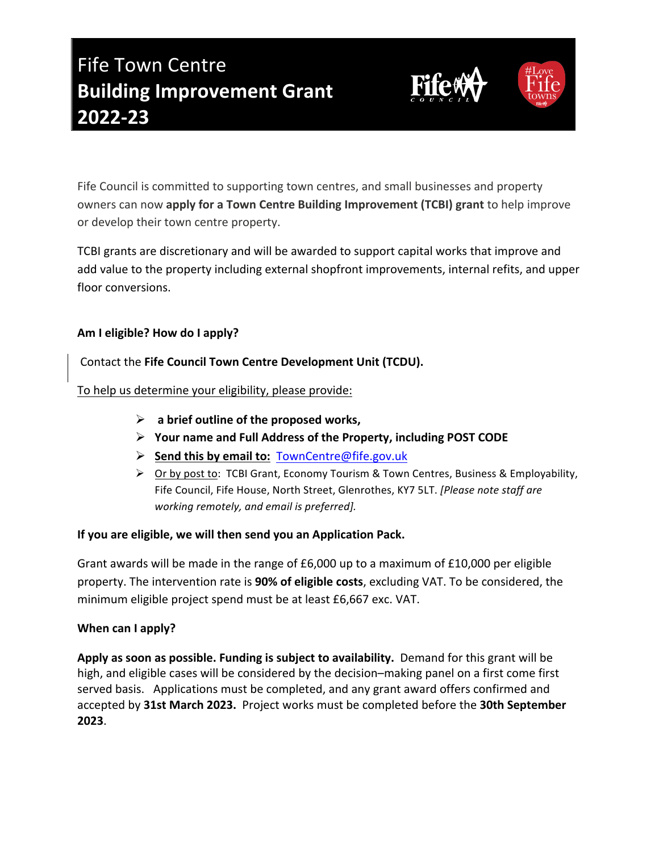# **Fife Town Centre Building Improvement Grant 2022-23**

Fife Council is committed to supporting town centres, and small businesses and property owners can now **apply for a Town Centre Building Improvement (TCBI) grant** to help improve or develop their town centre property.

TCBI grants are discretionary and will be awarded to support capital works that improve and add value to the property including external shopfront improvements, internal refits, and upper floor conversions.

## Am I eligible? How do I apply?

Contact the Fife Council Town Centre Development Unit (TCDU).

To help us determine your eligibility, please provide:

- $\triangleright$  a brief outline of the proposed works,
- $\triangleright$  Your name and Full Address of the Property, including POST CODE
- Ø **Send this by email to:** TownCentre@fife.gov.uk
- $\triangleright$  Or by post to: TCBI Grant, Economy Tourism & Town Centres, Business & Employability, Fife Council, Fife House, North Street, Glenrothes, KY7 5LT. *[Please note staff are working remotely, and email is preferred].*

## If you are eligible, we will then send you an Application Pack.

Grant awards will be made in the range of  $£6,000$  up to a maximum of  $£10,000$  per eligible property. The intervention rate is **90% of eligible costs**, excluding VAT. To be considered, the minimum eligible project spend must be at least £6,667 exc. VAT.

#### **When** can I apply?

**Apply as soon as possible. Funding is subject to availability.** Demand for this grant will be high, and eligible cases will be considered by the decision-making panel on a first come first served basis. Applications must be completed, and any grant award offers confirmed and accepted by 31st March 2023. Project works must be completed before the 30th September **2023**.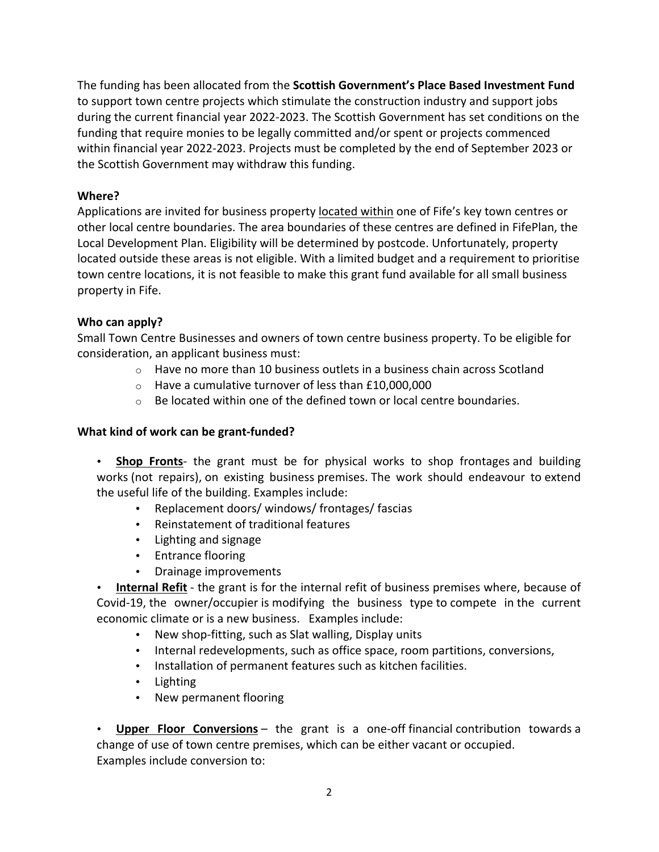The funding has been allocated from the **Scottish Government's Place Based Investment Fund** to support town centre projects which stimulate the construction industry and support jobs during the current financial year 2022-2023. The Scottish Government has set conditions on the funding that require monies to be legally committed and/or spent or projects commenced within financial year 2022-2023. Projects must be completed by the end of September 2023 or the Scottish Government may withdraw this funding.

# **Where?**

Applications are invited for business property located within one of Fife's key town centres or other local centre boundaries. The area boundaries of these centres are defined in FifePlan, the Local Development Plan. Eligibility will be determined by postcode. Unfortunately, property located outside these areas is not eligible. With a limited budget and a requirement to prioritise town centre locations, it is not feasible to make this grant fund available for all small business property in Fife.

# Who can apply?

Small Town Centre Businesses and owners of town centre business property. To be eligible for consideration, an applicant business must:

- $\circ$  Have no more than 10 business outlets in a business chain across Scotland
- $\circ$  Have a cumulative turnover of less than £10,000,000
- $\circ$  Be located within one of the defined town or local centre boundaries.

# **What kind of work can be grant-funded?**

• **Shop Fronts**- the grant must be for physical works to shop frontages and building works (not repairs), on existing business premises. The work should endeavour to extend the useful life of the building. Examples include:

- Replacement doors/ windows/ frontages/ fascias
- Reinstatement of traditional features
- Lighting and signage
- Entrance flooring
- Drainage improvements

• **Internal Refit** - the grant is for the internal refit of business premises where, because of Covid-19, the owner/occupier is modifying the business type to compete in the current economic climate or is a new business. Examples include:

- New shop-fitting, such as Slat walling, Display units
- Internal redevelopments, such as office space, room partitions, conversions,
- Installation of permanent features such as kitchen facilities.
- Lighting
- New permanent flooring

• **Upper Floor Conversions** – the grant is a one-off financial contribution towards a change of use of town centre premises, which can be either vacant or occupied. Examples include conversion to: